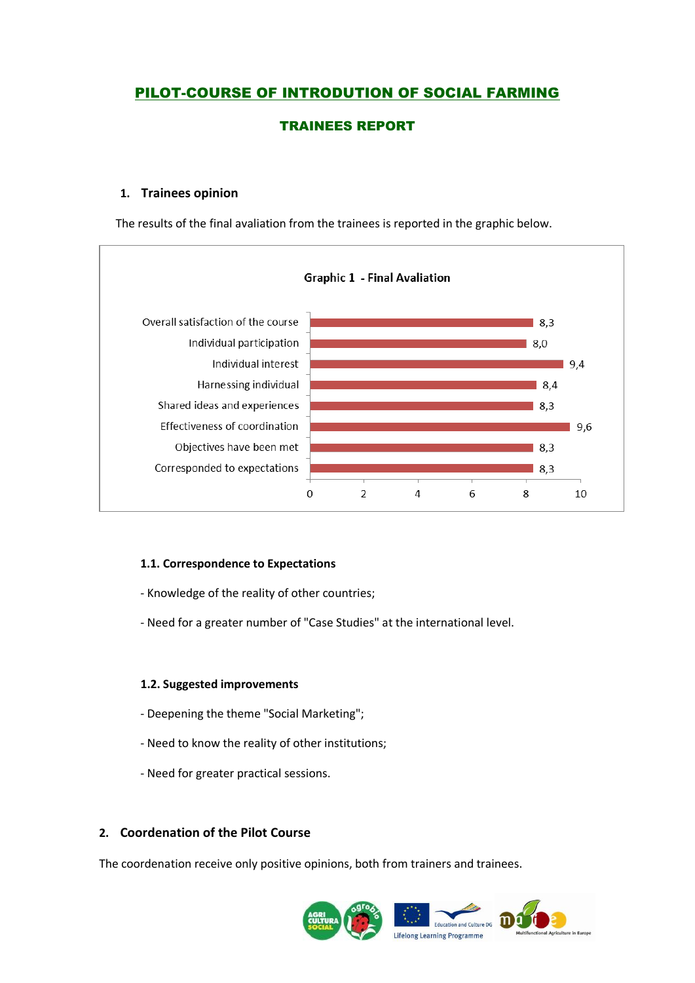# PILOT-COURSE OF INTRODUTION OF SOCIAL FARMING

## TRAINEES REPORT

## **1. Trainees opinion**

The results of the final avaliation from the trainees is reported in the graphic below.



#### **1.1. Correspondence to Expectations**

- Knowledge of the reality of other countries;

- Need for a greater number of "Case Studies" at the international level.

#### **1.2. Suggested improvements**

- Deepening the theme "Social Marketing";
- Need to know the reality of other institutions;
- Need for greater practical sessions.

## **2. Coordenation of the Pilot Course**

The coordenation receive only positive opinions, both from trainers and trainees.

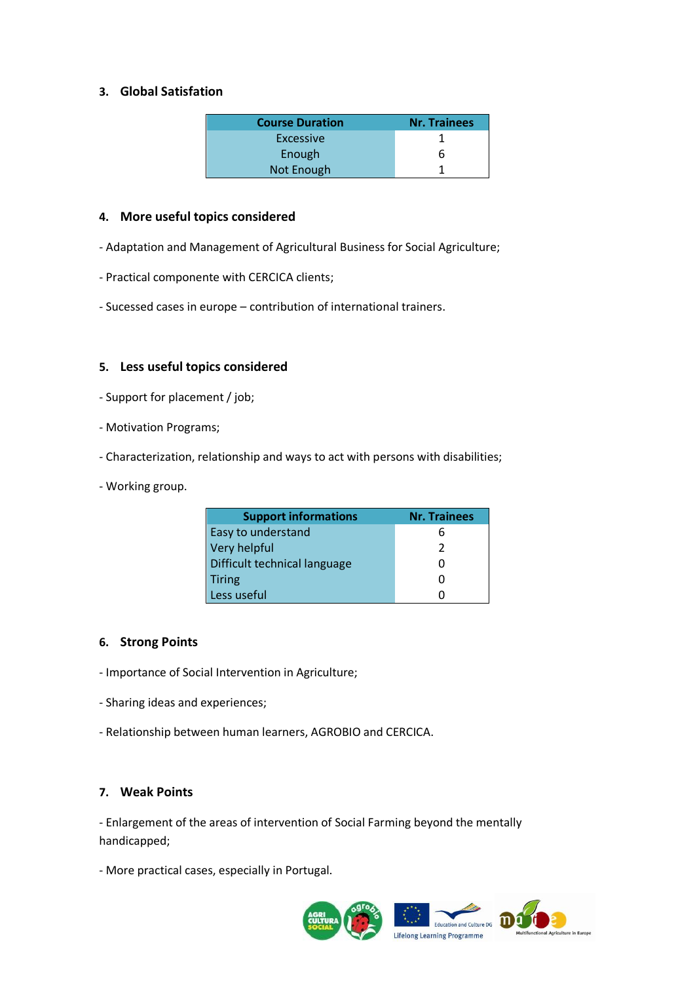## **3. Global Satisfation**

| <b>Course Duration</b> | <b>Nr. Trainees</b> |
|------------------------|---------------------|
| Excessive              |                     |
| Enough                 | h                   |
| <b>Not Enough</b>      |                     |

#### **4. More useful topics considered**

- Adaptation and Management of Agricultural Business for Social Agriculture;
- Practical componente with CERCICA clients;
- Sucessed cases in europe contribution of international trainers.

### **5. Less useful topics considered**

- Support for placement / job;
- Motivation Programs;
- Characterization, relationship and ways to act with persons with disabilities;
- Working group.

| <b>Support informations</b>  | <b>Nr. Trainees</b> |
|------------------------------|---------------------|
| <b>Easy to understand</b>    | h                   |
| Very helpful                 | 2                   |
| Difficult technical language |                     |
| <b>Tiring</b>                |                     |
| Less useful                  |                     |

#### **6. Strong Points**

- Importance of Social Intervention in Agriculture;
- Sharing ideas and experiences;
- Relationship between human learners, AGROBIO and CERCICA.

## **7. Weak Points**

- Enlargement of the areas of intervention of Social Farming beyond the mentally handicapped;

- More practical cases, especially in Portugal.